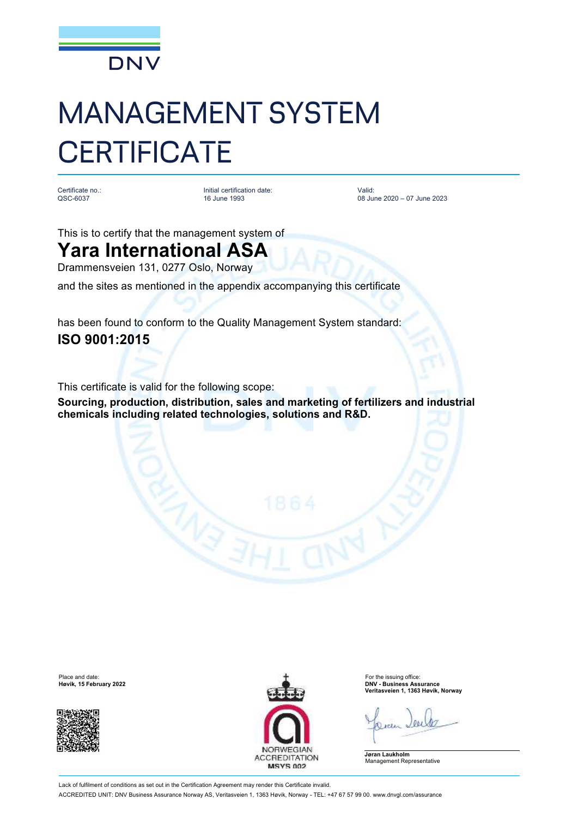

# MANAGEMENT SYSTEM **CERTIFICATE**

Certificate no.: QSC-6037

Initial certification date: 16 June 1993

Valid: 08 June 2020 – 07 June 2023

This is to certify that the management system of

# **Yara International ASA**

Drammensveien 131, 0277 Oslo, Norway

and the sites as mentioned in the appendix accompanying this certificate

has been found to conform to the Quality Management System standard: **ISO 9001:2015**

This certificate is valid for the following scope:

**Sourcing, production, distribution, sales and marketing of fertilizers and industrial chemicals including related technologies, solutions and R&D.**





**Høvik, 15 February 2022 DNV - Business Assurance Veritasveien 1, 1363 Høvik, Norway**

**Jøran Laukholm** Management Representative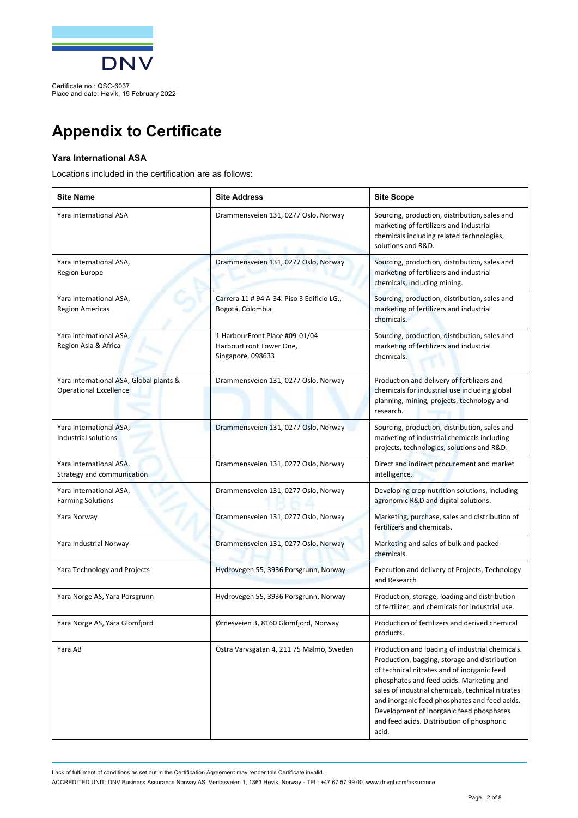

Certificate no.: QSC-6037 Place and date: Høvik, 15 February 2022

# **Appendix to Certificate**

## **Yara International ASA**

Locations included in the certification are as follows:

| <b>Site Name</b>                                                         | <b>Site Address</b>                                                            | <b>Site Scope</b>                                                                                                                                                                                                                                                                                                                                                                                    |
|--------------------------------------------------------------------------|--------------------------------------------------------------------------------|------------------------------------------------------------------------------------------------------------------------------------------------------------------------------------------------------------------------------------------------------------------------------------------------------------------------------------------------------------------------------------------------------|
| Yara International ASA                                                   | Drammensveien 131, 0277 Oslo, Norway                                           | Sourcing, production, distribution, sales and<br>marketing of fertilizers and industrial<br>chemicals including related technologies,<br>solutions and R&D.                                                                                                                                                                                                                                          |
| Yara International ASA,<br><b>Region Europe</b>                          | Drammensveien 131, 0277 Oslo, Norway                                           | Sourcing, production, distribution, sales and<br>marketing of fertilizers and industrial<br>chemicals, including mining.                                                                                                                                                                                                                                                                             |
| Yara International ASA,<br><b>Region Americas</b>                        | Carrera 11 # 94 A-34. Piso 3 Edificio LG.,<br>Bogotá, Colombia                 | Sourcing, production, distribution, sales and<br>marketing of fertilizers and industrial<br>chemicals.                                                                                                                                                                                                                                                                                               |
| Yara international ASA,<br>Region Asia & Africa                          | 1 HarbourFront Place #09-01/04<br>HarbourFront Tower One,<br>Singapore, 098633 | Sourcing, production, distribution, sales and<br>marketing of fertilizers and industrial<br>chemicals.                                                                                                                                                                                                                                                                                               |
| Yara international ASA, Global plants &<br><b>Operational Excellence</b> | Drammensveien 131, 0277 Oslo, Norway                                           | Production and delivery of fertilizers and<br>chemicals for industrial use including global<br>planning, mining, projects, technology and<br>research.                                                                                                                                                                                                                                               |
| Yara International ASA,<br>Industrial solutions                          | Drammensveien 131, 0277 Oslo, Norway                                           | Sourcing, production, distribution, sales and<br>marketing of industrial chemicals including<br>projects, technologies, solutions and R&D.                                                                                                                                                                                                                                                           |
| Yara International ASA,<br>Strategy and communication                    | Drammensveien 131, 0277 Oslo, Norway                                           | Direct and indirect procurement and market<br>intelligence.                                                                                                                                                                                                                                                                                                                                          |
| Yara International ASA,<br><b>Farming Solutions</b>                      | Drammensveien 131, 0277 Oslo, Norway                                           | Developing crop nutrition solutions, including<br>agronomic R&D and digital solutions.                                                                                                                                                                                                                                                                                                               |
| Yara Norway                                                              | Drammensveien 131, 0277 Oslo, Norway                                           | Marketing, purchase, sales and distribution of<br>fertilizers and chemicals.                                                                                                                                                                                                                                                                                                                         |
| Yara Industrial Norway                                                   | Drammensveien 131, 0277 Oslo, Norway                                           | Marketing and sales of bulk and packed<br>chemicals.                                                                                                                                                                                                                                                                                                                                                 |
| Yara Technology and Projects                                             | Hydrovegen 55, 3936 Porsgrunn, Norway                                          | Execution and delivery of Projects, Technology<br>and Research                                                                                                                                                                                                                                                                                                                                       |
| Yara Norge AS, Yara Porsgrunn                                            | Hydrovegen 55, 3936 Porsgrunn, Norway                                          | Production, storage, loading and distribution<br>of fertilizer, and chemicals for industrial use.                                                                                                                                                                                                                                                                                                    |
| Yara Norge AS, Yara Glomfjord                                            | Ørnesveien 3, 8160 Glomfjord, Norway                                           | Production of fertilizers and derived chemical<br>products.                                                                                                                                                                                                                                                                                                                                          |
| Yara AB                                                                  | Östra Varvsgatan 4, 211 75 Malmö, Sweden                                       | Production and loading of industrial chemicals.<br>Production, bagging, storage and distribution<br>of technical nitrates and of inorganic feed<br>phosphates and feed acids. Marketing and<br>sales of industrial chemicals, technical nitrates<br>and inorganic feed phosphates and feed acids.<br>Development of inorganic feed phosphates<br>and feed acids. Distribution of phosphoric<br>acid. |

Lack of fulfilment of conditions as set out in the Certification Agreement may render this Certificate invalid.

ACCREDITED UNIT: DNV Business Assurance Norway AS, Veritasveien 1, 1363 Høvik, Norway - TEL: +47 67 57 99 00. [www.dnvgl.com/assurance](http://www.dnvgl.com/assurance)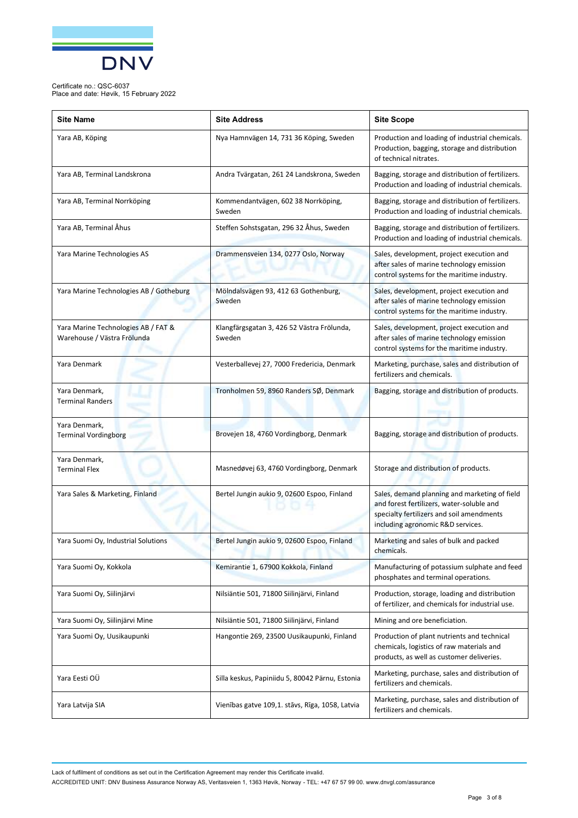

Place and date: Høvik, 15 February 2022

| <b>Site Name</b>                                                   | <b>Site Address</b>                                  | <b>Site Scope</b>                                                                                                                                                            |
|--------------------------------------------------------------------|------------------------------------------------------|------------------------------------------------------------------------------------------------------------------------------------------------------------------------------|
| Yara AB, Köping                                                    | Nya Hamnvägen 14, 731 36 Köping, Sweden              | Production and loading of industrial chemicals.<br>Production, bagging, storage and distribution<br>of technical nitrates.                                                   |
| Yara AB, Terminal Landskrona                                       | Andra Tvärgatan, 261 24 Landskrona, Sweden           | Bagging, storage and distribution of fertilizers.<br>Production and loading of industrial chemicals.                                                                         |
| Yara AB, Terminal Norrköping                                       | Kommendantvägen, 602 38 Norrköping,<br>Sweden        | Bagging, storage and distribution of fertilizers.<br>Production and loading of industrial chemicals.                                                                         |
| Yara AB, Terminal Åhus                                             | Steffen Sohstsgatan, 296 32 Åhus, Sweden             | Bagging, storage and distribution of fertilizers.<br>Production and loading of industrial chemicals.                                                                         |
| Yara Marine Technologies AS                                        | Drammensveien 134, 0277 Oslo, Norway                 | Sales, development, project execution and<br>after sales of marine technology emission<br>control systems for the maritime industry.                                         |
| Yara Marine Technologies AB / Gotheburg                            | Mölndalsvägen 93, 412 63 Gothenburg,<br>Sweden       | Sales, development, project execution and<br>after sales of marine technology emission<br>control systems for the maritime industry.                                         |
| Yara Marine Technologies AB / FAT &<br>Warehouse / Västra Frölunda | Klangfärgsgatan 3, 426 52 Västra Frölunda,<br>Sweden | Sales, development, project execution and<br>after sales of marine technology emission<br>control systems for the maritime industry.                                         |
| Yara Denmark                                                       | Vesterballevej 27, 7000 Fredericia, Denmark          | Marketing, purchase, sales and distribution of<br>fertilizers and chemicals.                                                                                                 |
| Yara Denmark,<br><b>Terminal Randers</b>                           | Tronholmen 59, 8960 Randers SØ, Denmark              | Bagging, storage and distribution of products.                                                                                                                               |
| Yara Denmark,<br><b>Terminal Vordingborg</b>                       | Brovejen 18, 4760 Vordingborg, Denmark               | Bagging, storage and distribution of products.                                                                                                                               |
| Yara Denmark,<br><b>Terminal Flex</b>                              | Masnedøvej 63, 4760 Vordingborg, Denmark             | Storage and distribution of products.                                                                                                                                        |
| Yara Sales & Marketing, Finland                                    | Bertel Jungin aukio 9, 02600 Espoo, Finland          | Sales, demand planning and marketing of field<br>and forest fertilizers, water-soluble and<br>specialty fertilizers and soil amendments<br>including agronomic R&D services. |
| Yara Suomi Oy, Industrial Solutions                                | Bertel Jungin aukio 9, 02600 Espoo, Finland          | Marketing and sales of bulk and packed<br>chemicals.                                                                                                                         |
| Yara Suomi Oy, Kokkola                                             | Kemirantie 1, 67900 Kokkola, Finland                 | Manufacturing of potassium sulphate and feed<br>phosphates and terminal operations.                                                                                          |
| Yara Suomi Oy, Siilinjärvi                                         | Nilsiäntie 501, 71800 Siilinjärvi, Finland           | Production, storage, loading and distribution<br>of fertilizer, and chemicals for industrial use.                                                                            |
| Yara Suomi Oy, Siilinjärvi Mine                                    | Nilsiäntie 501, 71800 Siilinjärvi, Finland           | Mining and ore beneficiation.                                                                                                                                                |
| Yara Suomi Oy, Uusikaupunki                                        | Hangontie 269, 23500 Uusikaupunki, Finland           | Production of plant nutrients and technical<br>chemicals, logistics of raw materials and<br>products, as well as customer deliveries.                                        |
| Yara Eesti OÜ                                                      | Silla keskus, Papiniidu 5, 80042 Pärnu, Estonia      | Marketing, purchase, sales and distribution of<br>fertilizers and chemicals.                                                                                                 |
| Yara Latvija SIA                                                   | Vienības gatve 109,1. stāvs, Rīga, 1058, Latvia      | Marketing, purchase, sales and distribution of<br>fertilizers and chemicals.                                                                                                 |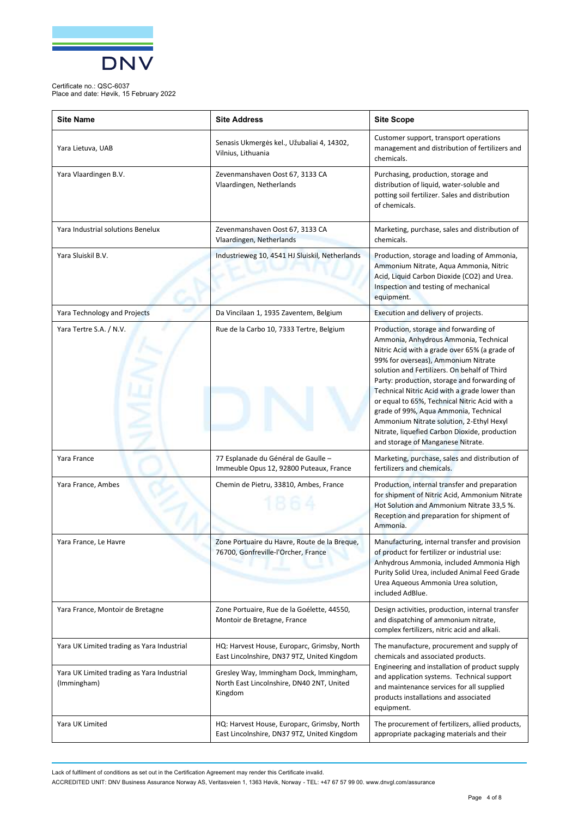

Place and date: Høvik, 15 February 2022

| <b>Site Name</b>                                          | <b>Site Address</b>                                                                             | <b>Site Scope</b>                                                                                                                                                                                                                                                                                                                                                                                                                                                                                                                                   |
|-----------------------------------------------------------|-------------------------------------------------------------------------------------------------|-----------------------------------------------------------------------------------------------------------------------------------------------------------------------------------------------------------------------------------------------------------------------------------------------------------------------------------------------------------------------------------------------------------------------------------------------------------------------------------------------------------------------------------------------------|
| Yara Lietuva, UAB                                         | Senasis Ukmergės kel., Užubaliai 4, 14302,<br>Vilnius, Lithuania                                | Customer support, transport operations<br>management and distribution of fertilizers and<br>chemicals.                                                                                                                                                                                                                                                                                                                                                                                                                                              |
| Yara Vlaardingen B.V.                                     | Zevenmanshaven Oost 67, 3133 CA<br>Vlaardingen, Netherlands                                     | Purchasing, production, storage and<br>distribution of liquid, water-soluble and<br>potting soil fertilizer. Sales and distribution<br>of chemicals.                                                                                                                                                                                                                                                                                                                                                                                                |
| Yara Industrial solutions Benelux                         | Zevenmanshaven Oost 67, 3133 CA<br>Vlaardingen, Netherlands                                     | Marketing, purchase, sales and distribution of<br>chemicals.                                                                                                                                                                                                                                                                                                                                                                                                                                                                                        |
| Yara Sluiskil B.V.                                        | Industrieweg 10, 4541 HJ Sluiskil, Netherlands                                                  | Production, storage and loading of Ammonia,<br>Ammonium Nitrate, Aqua Ammonia, Nitric<br>Acid, Liquid Carbon Dioxide (CO2) and Urea.<br>Inspection and testing of mechanical<br>equipment.                                                                                                                                                                                                                                                                                                                                                          |
| Yara Technology and Projects                              | Da Vincilaan 1, 1935 Zaventem, Belgium                                                          | Execution and delivery of projects.                                                                                                                                                                                                                                                                                                                                                                                                                                                                                                                 |
| Yara Tertre S.A. / N.V.                                   | Rue de la Carbo 10, 7333 Tertre, Belgium                                                        | Production, storage and forwarding of<br>Ammonia, Anhydrous Ammonia, Technical<br>Nitric Acid with a grade over 65% (a grade of<br>99% for overseas), Ammonium Nitrate<br>solution and Fertilizers. On behalf of Third<br>Party: production, storage and forwarding of<br>Technical Nitric Acid with a grade lower than<br>or equal to 65%, Technical Nitric Acid with a<br>grade of 99%, Aqua Ammonia, Technical<br>Ammonium Nitrate solution, 2-Ethyl Hexyl<br>Nitrate, liquefied Carbon Dioxide, production<br>and storage of Manganese Nitrate. |
| Yara France                                               | 77 Esplanade du Général de Gaulle -<br>Immeuble Opus 12, 92800 Puteaux, France                  | Marketing, purchase, sales and distribution of<br>fertilizers and chemicals.                                                                                                                                                                                                                                                                                                                                                                                                                                                                        |
| Yara France, Ambes                                        | Chemin de Pietru, 33810, Ambes, France                                                          | Production, internal transfer and preparation<br>for shipment of Nitric Acid, Ammonium Nitrate<br>Hot Solution and Ammonium Nitrate 33,5 %.<br>Reception and preparation for shipment of<br>Ammonia.                                                                                                                                                                                                                                                                                                                                                |
| Yara France, Le Havre                                     | Zone Portuaire du Havre, Route de la Breque<br>76700, Gonfreville-l'Orcher, France              | Manufacturing, internal transfer and provision<br>of product for fertilizer or industrial use:<br>Anhydrous Ammonia, included Ammonia High<br>Purity Solid Urea, included Animal Feed Grade<br>Urea Aqueous Ammonia Urea solution,<br>included AdBlue.                                                                                                                                                                                                                                                                                              |
| Yara France, Montoir de Bretagne                          | Zone Portuaire, Rue de la Goélette, 44550,<br>Montoir de Bretagne, France                       | Design activities, production, internal transfer<br>and dispatching of ammonium nitrate,<br>complex fertilizers, nitric acid and alkali.                                                                                                                                                                                                                                                                                                                                                                                                            |
| Yara UK Limited trading as Yara Industrial                | HQ: Harvest House, Europarc, Grimsby, North<br>East Lincolnshire, DN37 9TZ, United Kingdom      | The manufacture, procurement and supply of<br>chemicals and associated products.<br>Engineering and installation of product supply<br>and application systems. Technical support<br>and maintenance services for all supplied<br>products installations and associated<br>equipment.                                                                                                                                                                                                                                                                |
| Yara UK Limited trading as Yara Industrial<br>(Immingham) | Gresley Way, Immingham Dock, Immingham,<br>North East Lincolnshire, DN40 2NT, United<br>Kingdom |                                                                                                                                                                                                                                                                                                                                                                                                                                                                                                                                                     |
| Yara UK Limited                                           | HQ: Harvest House, Europarc, Grimsby, North<br>East Lincolnshire, DN37 9TZ, United Kingdom      | The procurement of fertilizers, allied products,<br>appropriate packaging materials and their                                                                                                                                                                                                                                                                                                                                                                                                                                                       |

Lack of fulfilment of conditions as set out in the Certification Agreement may render this Certificate invalid.

ACCREDITED UNIT: DNV Business Assurance Norway AS, Veritasveien 1, 1363 Høvik, Norway - TEL: +47 67 57 99 00. [www.dnvgl.com/assurance](http://www.dnvgl.com/assurance)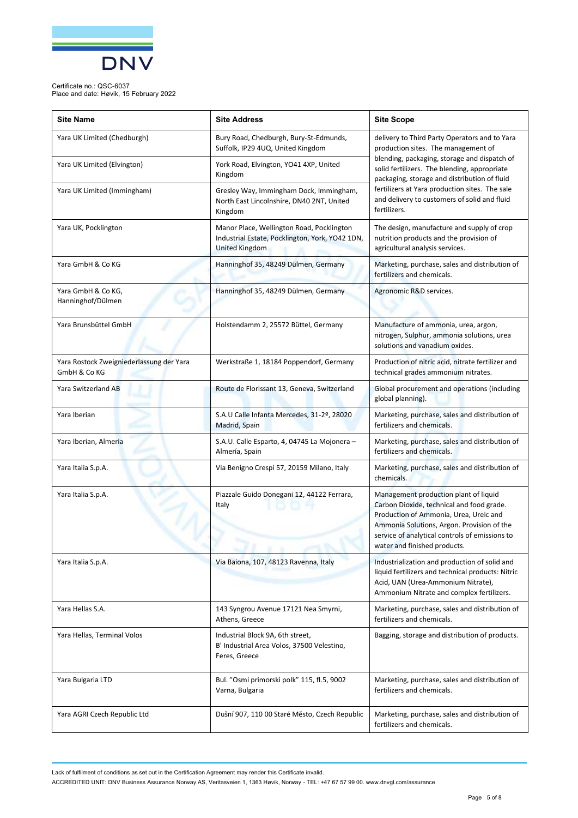

Place and date: Høvik, 15 February 2022

| <b>Site Name</b>                                         | <b>Site Address</b>                                                                                                   | <b>Site Scope</b>                                                                                                                                                                                                                                                                                                                                      |
|----------------------------------------------------------|-----------------------------------------------------------------------------------------------------------------------|--------------------------------------------------------------------------------------------------------------------------------------------------------------------------------------------------------------------------------------------------------------------------------------------------------------------------------------------------------|
| Yara UK Limited (Chedburgh)                              | Bury Road, Chedburgh, Bury-St-Edmunds,<br>Suffolk, IP29 4UQ, United Kingdom                                           | delivery to Third Party Operators and to Yara<br>production sites. The management of<br>blending, packaging, storage and dispatch of<br>solid fertilizers. The blending, appropriate<br>packaging, storage and distribution of fluid<br>fertilizers at Yara production sites. The sale<br>and delivery to customers of solid and fluid<br>fertilizers. |
| Yara UK Limited (Elvington)                              | York Road, Elvington, YO41 4XP, United<br>Kingdom                                                                     |                                                                                                                                                                                                                                                                                                                                                        |
| Yara UK Limited (Immingham)                              | Gresley Way, Immingham Dock, Immingham,<br>North East Lincolnshire, DN40 2NT, United<br>Kingdom                       |                                                                                                                                                                                                                                                                                                                                                        |
| Yara UK, Pocklington                                     | Manor Place, Wellington Road, Pocklington<br>Industrial Estate, Pocklington, York, YO42 1DN,<br><b>United Kingdom</b> | The design, manufacture and supply of crop<br>nutrition products and the provision of<br>agricultural analysis services.                                                                                                                                                                                                                               |
| Yara GmbH & Co KG                                        | Hanninghof 35, 48249 Dülmen, Germany                                                                                  | Marketing, purchase, sales and distribution of<br>fertilizers and chemicals.                                                                                                                                                                                                                                                                           |
| Yara GmbH & Co KG,<br>Hanninghof/Dülmen                  | Hanninghof 35, 48249 Dülmen, Germany                                                                                  | Agronomic R&D services.                                                                                                                                                                                                                                                                                                                                |
| Yara Brunsbüttel GmbH                                    | Holstendamm 2, 25572 Büttel, Germany                                                                                  | Manufacture of ammonia, urea, argon,<br>nitrogen, Sulphur, ammonia solutions, urea<br>solutions and vanadium oxides.                                                                                                                                                                                                                                   |
| Yara Rostock Zweigniederlassung der Yara<br>GmbH & Co KG | Werkstraße 1, 18184 Poppendorf, Germany                                                                               | Production of nitric acid, nitrate fertilizer and<br>technical grades ammonium nitrates.                                                                                                                                                                                                                                                               |
| Yara Switzerland AB                                      | Route de Florissant 13, Geneva, Switzerland                                                                           | Global procurement and operations (including<br>global planning).                                                                                                                                                                                                                                                                                      |
| Yara Iberian                                             | S.A.U Calle Infanta Mercedes, 31-2º, 28020<br>Madrid, Spain                                                           | Marketing, purchase, sales and distribution of<br>fertilizers and chemicals.                                                                                                                                                                                                                                                                           |
| Yara Iberian, Almeria                                    | S.A.U. Calle Esparto, 4, 04745 La Mojonera -<br>Almería, Spain                                                        | Marketing, purchase, sales and distribution of<br>fertilizers and chemicals.                                                                                                                                                                                                                                                                           |
| Yara Italia S.p.A.                                       | Via Benigno Crespi 57, 20159 Milano, Italy                                                                            | Marketing, purchase, sales and distribution of<br>chemicals.                                                                                                                                                                                                                                                                                           |
| Yara Italia S.p.A.                                       | Piazzale Guido Donegani 12, 44122 Ferrara,<br>Italy                                                                   | Management production plant of liquid<br>Carbon Dioxide, technical and food grade.<br>Production of Ammonia, Urea, Ureic and<br>Ammonia Solutions, Argon. Provision of the<br>service of analytical controls of emissions to<br>water and finished products.                                                                                           |
| Yara Italia S.p.A.                                       | Via Baiona, 107, 48123 Ravenna, Italy                                                                                 | Industrialization and production of solid and<br>liquid fertilizers and technical products: Nitric<br>Acid, UAN (Urea-Ammonium Nitrate),<br>Ammonium Nitrate and complex fertilizers.                                                                                                                                                                  |
| Yara Hellas S.A.                                         | 143 Syngrou Avenue 17121 Nea Smyrni,<br>Athens, Greece                                                                | Marketing, purchase, sales and distribution of<br>fertilizers and chemicals.                                                                                                                                                                                                                                                                           |
| Yara Hellas, Terminal Volos                              | Industrial Block 9A, 6th street,<br>B' Industrial Area Volos, 37500 Velestino,<br>Feres, Greece                       | Bagging, storage and distribution of products.                                                                                                                                                                                                                                                                                                         |
| Yara Bulgaria LTD                                        | Bul. "Osmi primorski polk" 115, fl.5, 9002<br>Varna, Bulgaria                                                         | Marketing, purchase, sales and distribution of<br>fertilizers and chemicals.                                                                                                                                                                                                                                                                           |
| Yara AGRI Czech Republic Ltd                             | Dušní 907, 110 00 Staré Město, Czech Republic                                                                         | Marketing, purchase, sales and distribution of<br>fertilizers and chemicals.                                                                                                                                                                                                                                                                           |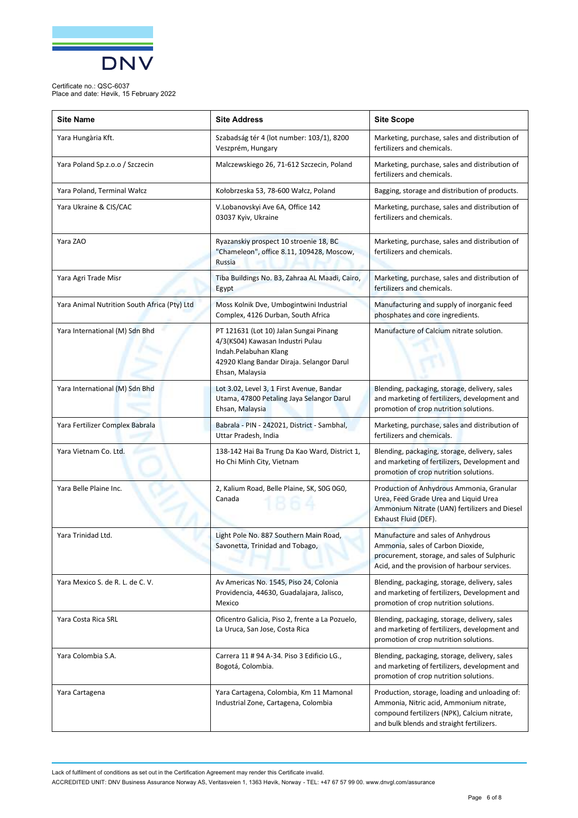

Place and date: Høvik, 15 February 2022

| <b>Site Name</b>                             | <b>Site Address</b>                                                                                                                                                 | <b>Site Scope</b>                                                                                                                                                                      |
|----------------------------------------------|---------------------------------------------------------------------------------------------------------------------------------------------------------------------|----------------------------------------------------------------------------------------------------------------------------------------------------------------------------------------|
| Yara Hungària Kft.                           | Szabadság tér 4 (lot number: 103/1), 8200<br>Veszprém, Hungary                                                                                                      | Marketing, purchase, sales and distribution of<br>fertilizers and chemicals.                                                                                                           |
| Yara Poland Sp.z.o.o / Szczecin              | Malczewskiego 26, 71-612 Szczecin, Poland                                                                                                                           | Marketing, purchase, sales and distribution of<br>fertilizers and chemicals.                                                                                                           |
| Yara Poland, Terminal Wałcz                  | Kołobrzeska 53, 78-600 Wałcz, Poland                                                                                                                                | Bagging, storage and distribution of products.                                                                                                                                         |
| Yara Ukraine & CIS/CAC                       | V.Lobanovskyi Ave 6A, Office 142<br>03037 Kyiv, Ukraine                                                                                                             | Marketing, purchase, sales and distribution of<br>fertilizers and chemicals.                                                                                                           |
| Yara ZAO                                     | Ryazanskiy prospect 10 stroenie 18, BC<br>"Chameleon", office 8.11, 109428, Moscow,<br><b>Russia</b>                                                                | Marketing, purchase, sales and distribution of<br>fertilizers and chemicals.                                                                                                           |
| Yara Agri Trade Misr                         | Tiba Buildings No. B3, Zahraa AL Maadi, Cairo,<br>Egypt                                                                                                             | Marketing, purchase, sales and distribution of<br>fertilizers and chemicals.                                                                                                           |
| Yara Animal Nutrition South Africa (Pty) Ltd | Moss Kolnik Dve, Umbogintwini Industrial<br>Complex, 4126 Durban, South Africa                                                                                      | Manufacturing and supply of inorganic feed<br>phosphates and core ingredients.                                                                                                         |
| Yara International (M) Sdn Bhd               | PT 121631 (Lot 10) Jalan Sungai Pinang<br>4/3(KS04) Kawasan Industri Pulau<br>Indah.Pelabuhan Klang<br>42920 Klang Bandar Diraja. Selangor Darul<br>Ehsan, Malaysia | Manufacture of Calcium nitrate solution.                                                                                                                                               |
| Yara International (M) Sdn Bhd               | Lot 3.02, Level 3, 1 First Avenue, Bandar<br>Utama, 47800 Petaling Jaya Selangor Darul<br>Ehsan, Malaysia                                                           | Blending, packaging, storage, delivery, sales<br>and marketing of fertilizers, development and<br>promotion of crop nutrition solutions.                                               |
| Yara Fertilizer Complex Babrala              | Babrala - PIN - 242021, District - Sambhal,<br>Uttar Pradesh, India                                                                                                 | Marketing, purchase, sales and distribution of<br>fertilizers and chemicals.                                                                                                           |
| Yara Vietnam Co. Ltd.                        | 138-142 Hai Ba Trung Da Kao Ward, District 1,<br>Ho Chi Minh City, Vietnam                                                                                          | Blending, packaging, storage, delivery, sales<br>and marketing of fertilizers, Development and<br>promotion of crop nutrition solutions.                                               |
| Yara Belle Plaine Inc.                       | 2, Kalium Road, Belle Plaine, SK, SOG 0G0,<br>Canada                                                                                                                | Production of Anhydrous Ammonia, Granular<br>Urea, Feed Grade Urea and Liquid Urea<br>Ammonium Nitrate (UAN) fertilizers and Diesel<br>Exhaust Fluid (DEF).                            |
| Yara Trinidad Ltd.                           | Light Pole No. 887 Southern Main Road,<br>Savonetta, Trinidad and Tobago,                                                                                           | Manufacture and sales of Anhydrous<br>Ammonia, sales of Carbon Dioxide,<br>procurement, storage, and sales of Sulphuric<br>Acid, and the provision of harbour services.                |
| Yara Mexico S. de R. L. de C. V.             | Av Americas No. 1545, Piso 24, Colonia<br>Providencia, 44630, Guadalajara, Jalisco,<br>Mexico                                                                       | Blending, packaging, storage, delivery, sales<br>and marketing of fertilizers, Development and<br>promotion of crop nutrition solutions.                                               |
| Yara Costa Rica SRL                          | Oficentro Galicia, Piso 2, frente a La Pozuelo,<br>La Uruca, San Jose, Costa Rica                                                                                   | Blending, packaging, storage, delivery, sales<br>and marketing of fertilizers, development and<br>promotion of crop nutrition solutions.                                               |
| Yara Colombia S.A.                           | Carrera 11 # 94 A-34. Piso 3 Edificio LG.,<br>Bogotá, Colombia.                                                                                                     | Blending, packaging, storage, delivery, sales<br>and marketing of fertilizers, development and<br>promotion of crop nutrition solutions.                                               |
| Yara Cartagena                               | Yara Cartagena, Colombia, Km 11 Mamonal<br>Industrial Zone, Cartagena, Colombia                                                                                     | Production, storage, loading and unloading of:<br>Ammonia, Nitric acid, Ammonium nitrate,<br>compound fertilizers (NPK), Calcium nitrate,<br>and bulk blends and straight fertilizers. |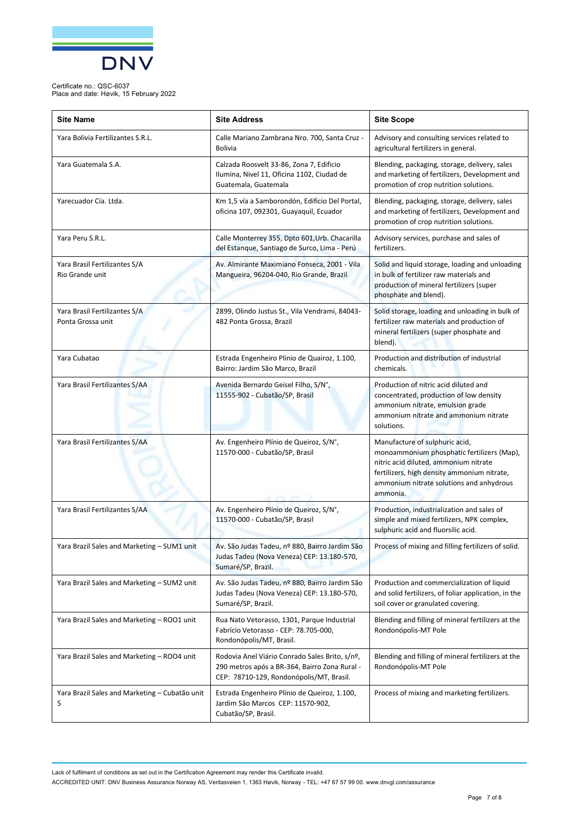

Certificate no.: QSC-6037 Place and date: Høvik, 15 February 2022

| <b>Site Name</b>                                    | <b>Site Address</b>                                                                                                                         | <b>Site Scope</b>                                                                                                                                                                                                            |
|-----------------------------------------------------|---------------------------------------------------------------------------------------------------------------------------------------------|------------------------------------------------------------------------------------------------------------------------------------------------------------------------------------------------------------------------------|
| Yara Bolivia Fertilizantes S.R.L.                   | Calle Mariano Zambrana Nro. 700, Santa Cruz -<br><b>Bolivia</b>                                                                             | Advisory and consulting services related to<br>agricultural fertilizers in general.                                                                                                                                          |
| Yara Guatemala S.A.                                 | Calzada Roosvelt 33-86, Zona 7, Edificio<br>Ilumina, Nivel 11, Oficina 1102, Ciudad de<br>Guatemala, Guatemala                              | Blending, packaging, storage, delivery, sales<br>and marketing of fertilizers, Development and<br>promotion of crop nutrition solutions.                                                                                     |
| Yarecuador Cía. Ltda.                               | Km 1,5 vía a Samborondón, Edificio Del Portal,<br>oficina 107, 092301, Guayaquil, Ecuador                                                   | Blending, packaging, storage, delivery, sales<br>and marketing of fertilizers, Development and<br>promotion of crop nutrition solutions.                                                                                     |
| Yara Peru S.R.L.                                    | Calle Monterrey 355, Dpto 601, Urb. Chacarilla<br>del Estanque, Santiago de Surco, Lima - Perú                                              | Advisory services, purchase and sales of<br>fertilizers.                                                                                                                                                                     |
| Yara Brasil Fertilizantes S/A<br>Rio Grande unit    | Av. Almirante Maximiano Fonseca, 2001 - Vila<br>Mangueira, 96204-040, Rio Grande, Brazil                                                    | Solid and liquid storage, loading and unloading<br>in bulk of fertilizer raw materials and<br>production of mineral fertilizers (super<br>phosphate and blend).                                                              |
| Yara Brasil Fertilizantes S/A<br>Ponta Grossa unit  | 2899, Olindo Justus St., Vila Vendrami, 84043-<br>482 Ponta Grossa, Brazil                                                                  | Solid storage, loading and unloading in bulk of<br>fertilizer raw materials and production of<br>mineral fertilizers (super phosphate and<br>blend).                                                                         |
| Yara Cubatao                                        | Estrada Engenheiro Plinio de Quairoz, 1.100,<br>Bairro: Jardim São Marco, Brazil                                                            | Production and distribution of industrial<br>chemicals.                                                                                                                                                                      |
| Yara Brasil Fertilizantes S/AA                      | Avenida Bernardo Geisel Filho, S/N°,<br>11555-902 - Cubatão/SP, Brasil                                                                      | Production of nitric acid diluted and<br>concentrated, production of low density<br>ammonium nitrate, emulsion grade<br>ammonium nitrate and ammonium nitrate<br>solutions.                                                  |
| Yara Brasil Fertilizantes S/AA                      | Av. Engenheiro Plínio de Queiroz, S/N°,<br>11570-000 - Cubatão/SP, Brasil                                                                   | Manufacture of sulphuric acid,<br>monoammonium phosphatic fertilizers (Map),<br>nitric acid diluted, ammonium nitrate<br>fertilizers, high density ammonium nitrate,<br>ammonium nitrate solutions and anhydrous<br>ammonia. |
| Yara Brasil Fertilizantes S/AA                      | Av. Engenheiro Plínio de Queiroz, S/N°,<br>11570-000 - Cubatão/SP, Brasil                                                                   | Production, industrialization and sales of<br>simple and mixed fertilizers, NPK complex,<br>sulphuric acid and fluorsilic acid.                                                                                              |
| Yara Brazil Sales and Marketing – SUM1 unit         | Av. São Judas Tadeu, nº 880, Bairro Jardim São<br>Judas Tadeu (Nova Veneza) CEP: 13.180-570,<br>Sumaré/SP, Brazil.                          | Process of mixing and filling fertilizers of solid.                                                                                                                                                                          |
| Yara Brazil Sales and Marketing - SUM2 unit         | Av. São Judas Tadeu, nº 880, Bairro Jardim São<br>Judas Tadeu (Nova Veneza) CEP: 13.180-570,<br>Sumaré/SP, Brazil.                          | Production and commercialization of liquid<br>and solid fertilizers, of foliar application, in the<br>soil cover or granulated covering.                                                                                     |
| Yara Brazil Sales and Marketing - ROO1 unit         | Rua Nato Vetorasso, 1301, Parque Industrial<br>Fabrício Vetorasso - CEP: 78.705-000,<br>Rondonópolis/MT, Brasil.                            | Blending and filling of mineral fertilizers at the<br>Rondonópolis-MT Pole                                                                                                                                                   |
| Yara Brazil Sales and Marketing - ROO4 unit         | Rodovia Anel Viário Conrado Sales Brito, s/nº,<br>290 metros após a BR-364, Bairro Zona Rural -<br>CEP: 78710-129, Rondonópolis/MT, Brasil. | Blending and filling of mineral fertilizers at the<br>Rondonópolis-MT Pole                                                                                                                                                   |
| Yara Brazil Sales and Marketing - Cubatão unit<br>5 | Estrada Engenheiro Plínio de Queiroz, 1.100,<br>Jardim São Marcos CEP: 11570-902,<br>Cubatão/SP, Brasil.                                    | Process of mixing and marketing fertilizers.                                                                                                                                                                                 |